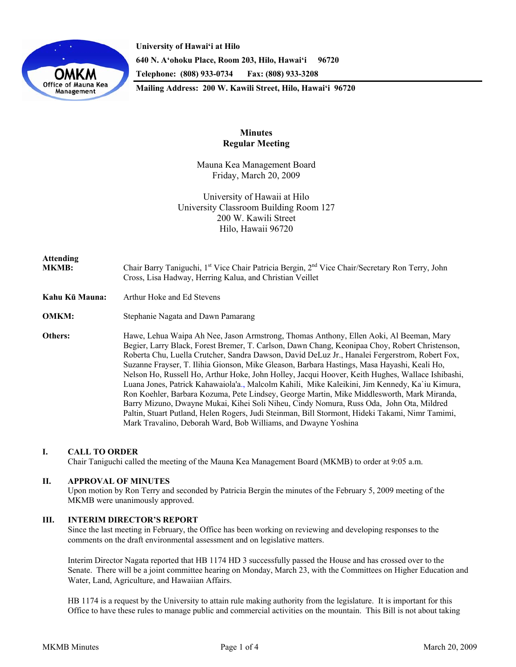

**University of Hawai'i at Hilo 640 N. A'ohoku Place, Room 203, Hilo, Hawai'i 96720 Telephone: (808) 933-0734 Fax: (808) 933-3208 Mailing Address: 200 W. Kawili Street, Hilo, Hawai'i 96720** 

## **Minutes Regular Meeting**

Mauna Kea Management Board Friday, March 20, 2009

University of Hawaii at Hilo University Classroom Building Room 127 200 W. Kawili Street Hilo, Hawaii 96720

# **Attending**

MKMB: Chair Barry Taniguchi, 1<sup>st</sup> Vice Chair Patricia Bergin, 2<sup>nd</sup> Vice Chair/Secretary Ron Terry, John Cross, Lisa Hadway, Herring Kalua, and Christian Veillet

- **Kahu Kū Mauna:** Arthur Hoke and Ed Stevens
- **OMKM:** Stephanie Nagata and Dawn Pamarang

**Others:** Hawe, Lehua Waipa Ah Nee, Jason Armstrong, Thomas Anthony, Ellen Aoki, Al Beeman, Mary Begier, Larry Black, Forest Bremer, T. Carlson, Dawn Chang, Keonipaa Choy, Robert Christenson, Roberta Chu, Luella Crutcher, Sandra Dawson, David DeLuz Jr., Hanalei Fergerstrom, Robert Fox, Suzanne Frayser, T. Ilihia Gionson, Mike Gleason, Barbara Hastings, Masa Hayashi, Keali Ho, Nelson Ho, Russell Ho, Arthur Hoke, John Holley, Jacqui Hoover, Keith Hughes, Wallace Ishibashi, Luana Jones, Patrick Kahawaiola'a., Malcolm Kahili, Mike Kaleikini, Jim Kennedy, Ka`iu Kimura, Ron Koehler, Barbara Kozuma, Pete Lindsey, George Martin, Mike Middlesworth, Mark Miranda, Barry Mizuno, Dwayne Mukai, Kihei Soli Niheu, Cindy Nomura, Russ Oda, John Ota, Mildred Paltin, Stuart Putland, Helen Rogers, Judi Steinman, Bill Stormont, Hideki Takami, Nimr Tamimi, Mark Travalino, Deborah Ward, Bob Williams, and Dwayne Yoshina

### **I. CALL TO ORDER**

Chair Taniguchi called the meeting of the Mauna Kea Management Board (MKMB) to order at 9:05 a.m.

### **II. APPROVAL OF MINUTES**

Upon motion by Ron Terry and seconded by Patricia Bergin the minutes of the February 5, 2009 meeting of the MKMB were unanimously approved.

## **III. INTERIM DIRECTOR'S REPORT**

Since the last meeting in February, the Office has been working on reviewing and developing responses to the comments on the draft environmental assessment and on legislative matters.

Interim Director Nagata reported that HB 1174 HD 3 successfully passed the House and has crossed over to the Senate. There will be a joint committee hearing on Monday, March 23, with the Committees on Higher Education and Water, Land, Agriculture, and Hawaiian Affairs.

HB 1174 is a request by the University to attain rule making authority from the legislature. It is important for this Office to have these rules to manage public and commercial activities on the mountain. This Bill is not about taking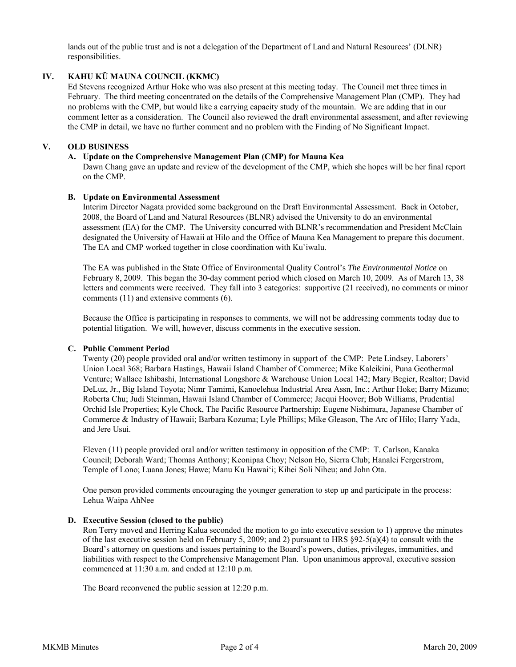lands out of the public trust and is not a delegation of the Department of Land and Natural Resources' (DLNR) responsibilities.

## **IV. KAHU KŪ MAUNA COUNCIL (KKMC)**

Ed Stevens recognized Arthur Hoke who was also present at this meeting today. The Council met three times in February. The third meeting concentrated on the details of the Comprehensive Management Plan (CMP). They had no problems with the CMP, but would like a carrying capacity study of the mountain. We are adding that in our comment letter as a consideration. The Council also reviewed the draft environmental assessment, and after reviewing the CMP in detail, we have no further comment and no problem with the Finding of No Significant Impact.

## **V. OLD BUSINESS**

### **A. Update on the Comprehensive Management Plan (CMP) for Mauna Kea**

Dawn Chang gave an update and review of the development of the CMP, which she hopes will be her final report on the CMP.

### **B. Update on Environmental Assessment**

Interim Director Nagata provided some background on the Draft Environmental Assessment. Back in October, 2008, the Board of Land and Natural Resources (BLNR) advised the University to do an environmental assessment (EA) for the CMP. The University concurred with BLNR's recommendation and President McClain designated the University of Hawaii at Hilo and the Office of Mauna Kea Management to prepare this document. The EA and CMP worked together in close coordination with Ku`iwalu.

The EA was published in the State Office of Environmental Quality Control's *The Environmental Notice* on February 8, 2009. This began the 30-day comment period which closed on March 10, 2009. As of March 13, 38 letters and comments were received. They fall into 3 categories: supportive (21 received), no comments or minor comments (11) and extensive comments (6).

Because the Office is participating in responses to comments, we will not be addressing comments today due to potential litigation. We will, however, discuss comments in the executive session.

### **C. Public Comment Period**

Twenty (20) people provided oral and/or written testimony in support of the CMP: Pete Lindsey, Laborers' Union Local 368; Barbara Hastings, Hawaii Island Chamber of Commerce; Mike Kaleikini, Puna Geothermal Venture; Wallace Ishibashi, International Longshore & Warehouse Union Local 142; Mary Begier, Realtor; David DeLuz, Jr., Big Island Toyota; Nimr Tamimi, Kanoelehua Industrial Area Assn, Inc.; Arthur Hoke; Barry Mizuno; Roberta Chu; Judi Steinman, Hawaii Island Chamber of Commerce; Jacqui Hoover; Bob Williams, Prudential Orchid Isle Properties; Kyle Chock, The Pacific Resource Partnership; Eugene Nishimura, Japanese Chamber of Commerce & Industry of Hawaii; Barbara Kozuma; Lyle Phillips; Mike Gleason, The Arc of Hilo; Harry Yada, and Jere Usui.

Eleven (11) people provided oral and/or written testimony in opposition of the CMP: T. Carlson, Kanaka Council; Deborah Ward; Thomas Anthony; Keonipaa Choy; Nelson Ho, Sierra Club; Hanalei Fergerstrom, Temple of Lono; Luana Jones; Hawe; Manu Ku Hawai'i; Kihei Soli Niheu; and John Ota.

One person provided comments encouraging the younger generation to step up and participate in the process: Lehua Waipa AhNee

#### **D. Executive Session (closed to the public)**

 Ron Terry moved and Herring Kalua seconded the motion to go into executive session to 1) approve the minutes of the last executive session held on February 5, 2009; and 2) pursuant to HRS  $\S92-5(a)(4)$  to consult with the Board's attorney on questions and issues pertaining to the Board's powers, duties, privileges, immunities, and liabilities with respect to the Comprehensive Management Plan. Upon unanimous approval, executive session commenced at 11:30 a.m. and ended at 12:10 p.m.

The Board reconvened the public session at 12:20 p.m.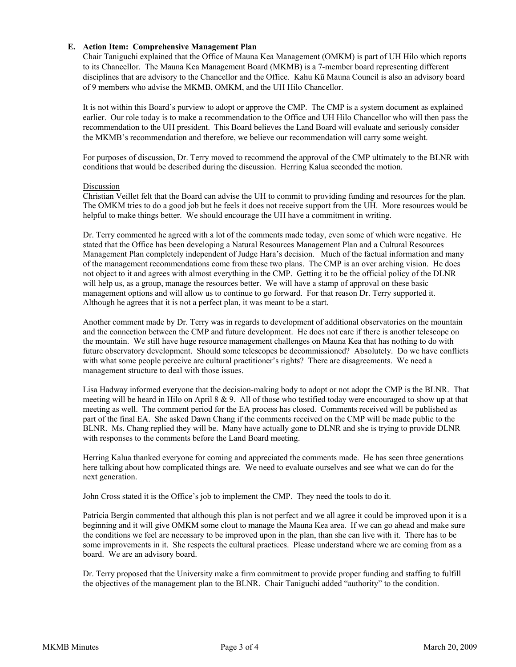## **E. Action Item: Comprehensive Management Plan**

Chair Taniguchi explained that the Office of Mauna Kea Management (OMKM) is part of UH Hilo which reports to its Chancellor. The Mauna Kea Management Board (MKMB) is a 7-member board representing different disciplines that are advisory to the Chancellor and the Office. Kahu Kū Mauna Council is also an advisory board of 9 members who advise the MKMB, OMKM, and the UH Hilo Chancellor.

It is not within this Board's purview to adopt or approve the CMP. The CMP is a system document as explained earlier. Our role today is to make a recommendation to the Office and UH Hilo Chancellor who will then pass the recommendation to the UH president. This Board believes the Land Board will evaluate and seriously consider the MKMB's recommendation and therefore, we believe our recommendation will carry some weight.

For purposes of discussion, Dr. Terry moved to recommend the approval of the CMP ultimately to the BLNR with conditions that would be described during the discussion. Herring Kalua seconded the motion.

#### Discussion

Christian Veillet felt that the Board can advise the UH to commit to providing funding and resources for the plan. The OMKM tries to do a good job but he feels it does not receive support from the UH. More resources would be helpful to make things better. We should encourage the UH have a commitment in writing.

Dr. Terry commented he agreed with a lot of the comments made today, even some of which were negative. He stated that the Office has been developing a Natural Resources Management Plan and a Cultural Resources Management Plan completely independent of Judge Hara's decision. Much of the factual information and many of the management recommendations come from these two plans. The CMP is an over arching vision. He does not object to it and agrees with almost everything in the CMP. Getting it to be the official policy of the DLNR will help us, as a group, manage the resources better. We will have a stamp of approval on these basic management options and will allow us to continue to go forward. For that reason Dr. Terry supported it. Although he agrees that it is not a perfect plan, it was meant to be a start.

Another comment made by Dr. Terry was in regards to development of additional observatories on the mountain and the connection between the CMP and future development. He does not care if there is another telescope on the mountain. We still have huge resource management challenges on Mauna Kea that has nothing to do with future observatory development. Should some telescopes be decommissioned? Absolutely. Do we have conflicts with what some people perceive are cultural practitioner's rights? There are disagreements. We need a management structure to deal with those issues.

Lisa Hadway informed everyone that the decision-making body to adopt or not adopt the CMP is the BLNR. That meeting will be heard in Hilo on April 8  $\&$  9. All of those who testified today were encouraged to show up at that meeting as well. The comment period for the EA process has closed. Comments received will be published as part of the final EA. She asked Dawn Chang if the comments received on the CMP will be made public to the BLNR. Ms. Chang replied they will be. Many have actually gone to DLNR and she is trying to provide DLNR with responses to the comments before the Land Board meeting.

Herring Kalua thanked everyone for coming and appreciated the comments made. He has seen three generations here talking about how complicated things are. We need to evaluate ourselves and see what we can do for the next generation.

John Cross stated it is the Office's job to implement the CMP. They need the tools to do it.

Patricia Bergin commented that although this plan is not perfect and we all agree it could be improved upon it is a beginning and it will give OMKM some clout to manage the Mauna Kea area. If we can go ahead and make sure the conditions we feel are necessary to be improved upon in the plan, than she can live with it. There has to be some improvements in it. She respects the cultural practices. Please understand where we are coming from as a board. We are an advisory board.

Dr. Terry proposed that the University make a firm commitment to provide proper funding and staffing to fulfill the objectives of the management plan to the BLNR. Chair Taniguchi added "authority" to the condition.